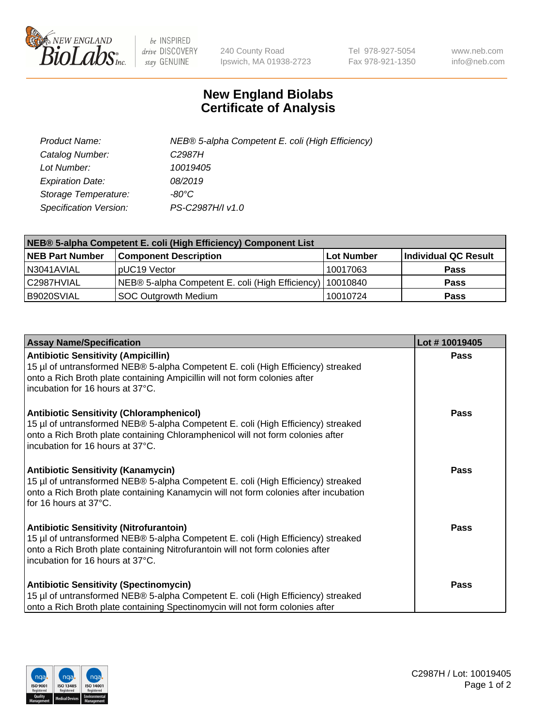

 $be$  INSPIRED drive DISCOVERY stay GENUINE

240 County Road Ipswich, MA 01938-2723 Tel 978-927-5054 Fax 978-921-1350 www.neb.com info@neb.com

## **New England Biolabs Certificate of Analysis**

| Product Name:           | NEB® 5-alpha Competent E. coli (High Efficiency) |
|-------------------------|--------------------------------------------------|
| Catalog Number:         | C <sub>2987</sub> H                              |
| Lot Number:             | 10019405                                         |
| <b>Expiration Date:</b> | 08/2019                                          |
| Storage Temperature:    | -80°C                                            |
| Specification Version:  | PS-C2987H/I v1.0                                 |

| NEB® 5-alpha Competent E. coli (High Efficiency) Component List |                                                             |            |                      |  |
|-----------------------------------------------------------------|-------------------------------------------------------------|------------|----------------------|--|
| <b>NEB Part Number</b>                                          | <b>Component Description</b>                                | Lot Number | Individual QC Result |  |
| N3041AVIAL                                                      | pUC19 Vector                                                | 10017063   | <b>Pass</b>          |  |
| C2987HVIAL                                                      | NEB® 5-alpha Competent E. coli (High Efficiency)   10010840 |            | <b>Pass</b>          |  |
| B9020SVIAL                                                      | <b>SOC Outgrowth Medium</b>                                 | 10010724   | <b>Pass</b>          |  |

| <b>Assay Name/Specification</b>                                                                                                                                                                                                                            | Lot #10019405 |
|------------------------------------------------------------------------------------------------------------------------------------------------------------------------------------------------------------------------------------------------------------|---------------|
| <b>Antibiotic Sensitivity (Ampicillin)</b><br>15 µl of untransformed NEB® 5-alpha Competent E. coli (High Efficiency) streaked<br>onto a Rich Broth plate containing Ampicillin will not form colonies after<br>incubation for 16 hours at 37°C.           | Pass          |
| <b>Antibiotic Sensitivity (Chloramphenicol)</b><br>15 µl of untransformed NEB® 5-alpha Competent E. coli (High Efficiency) streaked<br>onto a Rich Broth plate containing Chloramphenicol will not form colonies after<br>incubation for 16 hours at 37°C. | Pass          |
| Antibiotic Sensitivity (Kanamycin)<br>15 µl of untransformed NEB® 5-alpha Competent E. coli (High Efficiency) streaked<br>onto a Rich Broth plate containing Kanamycin will not form colonies after incubation<br>for 16 hours at 37°C.                    | Pass          |
| <b>Antibiotic Sensitivity (Nitrofurantoin)</b><br>15 µl of untransformed NEB® 5-alpha Competent E. coli (High Efficiency) streaked<br>onto a Rich Broth plate containing Nitrofurantoin will not form colonies after<br>incubation for 16 hours at 37°C.   | <b>Pass</b>   |
| <b>Antibiotic Sensitivity (Spectinomycin)</b><br>15 µl of untransformed NEB® 5-alpha Competent E. coli (High Efficiency) streaked<br>onto a Rich Broth plate containing Spectinomycin will not form colonies after                                         | Pass          |